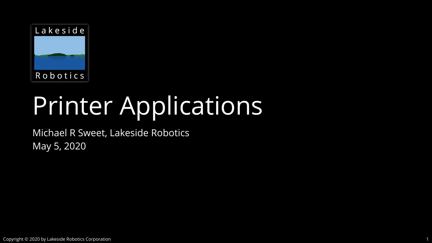

# Printer Applications

Michael R Sweet, Lakeside Robotics May 5, 2020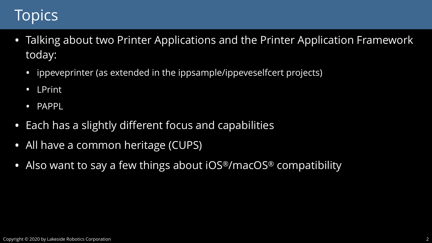## Topics

- today:
	- ippeveprinter (as extended in the ippsample/ippeveselfcert projects)
	- LPrint
	- PAPPL
- Each has a slightly different focus and capabilities
- All have a common heritage (CUPS)
- Also want to say a few things about iOS®/macOS® compatibility

### • Talking about two Printer Applications and the Printer Application Framework

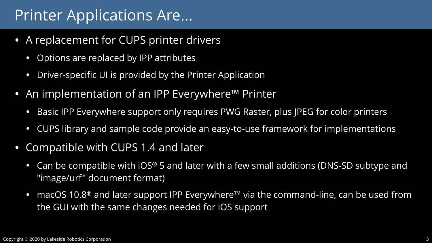

### Printer Applications Are...

- A replacement for CUPS printer drivers
	- Options are replaced by IPP attributes
	- Driver-specific UI is provided by the Printer Application
- An implementation of an IPP Everywhere™ Printer
	- Basic IPP Everywhere support only requires PWG Raster, plus JPEG for color printers
	- CUPS library and sample code provide an easy-to-use framework for implementations
- Compatible with CUPS 1.4 and later
	- Can be compatible with iOS® 5 and later with a few small additions (DNS-SD subtype and "image/urf" document format)
	- macOS 10.8<sup>®</sup> and later support IPP Everywhere<sup>™</sup> via the command-line, can be used from the GUI with the same changes needed for iOS support

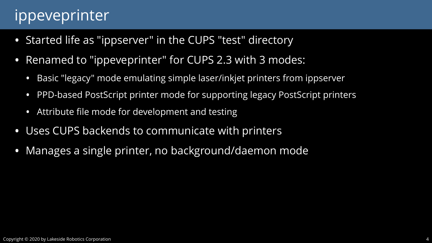

### ippeveprinter

- Started life as "ippserver" in the CUPS "test" directory
- Renamed to "ippeveprinter" for CUPS 2.3 with 3 modes:
	- Basic "legacy" mode emulating simple laser/inkjet printers from ippserver
	- PPD-based PostScript printer mode for supporting legacy PostScript printers
	- Attribute file mode for development and testing
- Uses CUPS backends to communicate with printers
- Manages a single printer, no background/daemon mode

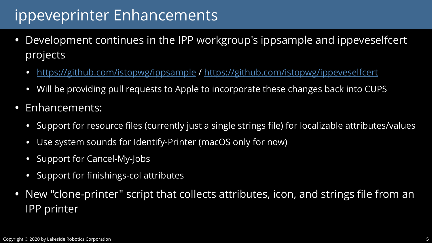## ippeveprinter Enhancements

• Development continues in the IPP workgroup's ippsample and ippeveselfcert

- projects
	- <https://github.com/istopwg/ippsample>/<https://github.com/istopwg/ippeveselfcert>
	- Will be providing pull requests to Apple to incorporate these changes back into CUPS
- Enhancements:
	- Support for resource files (currently just a single strings file) for localizable attributes/values • Use system sounds for Identify-Printer (macOS only for now)
	-
	- Support for Cancel-My-Jobs
	- Support for finishings-col attributes
- IPP printer

• New "clone-printer" script that collects attributes, icon, and strings file from an





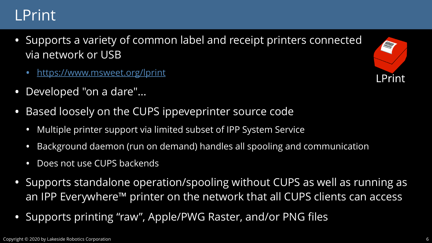

### LPrint

- Supports a variety of common label and receipt printers connected via network or USB
	- <https://www.msweet.org/lprint>
- Developed "on a dare"...
- Based loosely on the CUPS ippeveprinter source code
	- Multiple printer support via limited subset of IPP System Service
	- Background daemon (run on demand) handles all spooling and communication
	- Does not use CUPS backends
- Supports standalone operation/spooling without CUPS as well as running as an IPP Everywhere™ printer on the network that all CUPS clients can access
- Supports printing "raw", Apple/PWG Raster, and/or PNG files

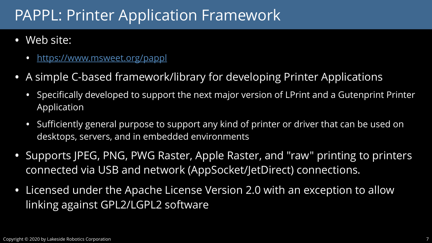



### PAPPL: Printer Application Framework

- Web site:
	- <https://www.msweet.org/pappl>
- A simple C-based framework/library for developing Printer Applications
	- Specifically developed to support the next major version of LPrint and a Gutenprint Printer Application
	- Sufficiently general purpose to support any kind of printer or driver that can be used on desktops, servers, and in embedded environments
- Supports JPEG, PNG, PWG Raster, Apple Raster, and "raw" printing to printers connected via USB and network (AppSocket/JetDirect) connections.
- Licensed under the Apache License Version 2.0 with an exception to allow linking against GPL2/LGPL2 software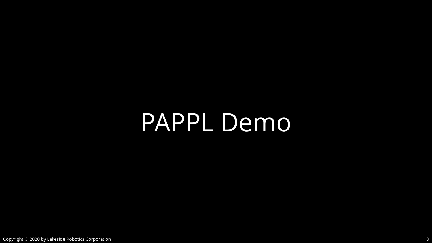PAPPL Demo

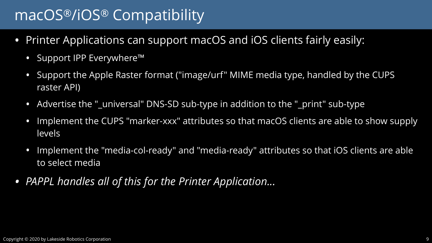





### macOS®/iOS® Compatibility

- Printer Applications can support macOS and iOS clients fairly easily:
	- Support IPP Everywhere™
	- Support the Apple Raster format ("image/urf" MIME media type, handled by the CUPS raster API)
	- Advertise the "\_universal" DNS-SD sub-type in addition to the "\_print" sub-type
	- Implement the CUPS "marker-xxx" attributes so that macOS clients are able to show supply levels
	- Implement the "media-col-ready" and "media-ready" attributes so that iOS clients are able to select media
- *• PAPPL handles all of this for the Printer Application...*

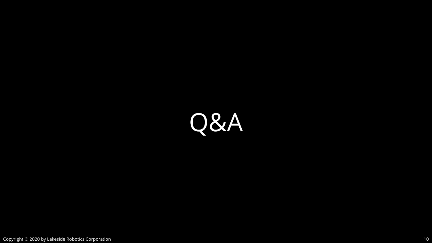

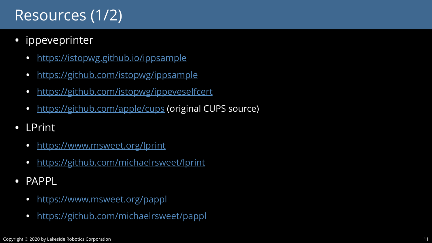

### Resources (1/2)

- ippeveprinter
	- <https://istopwg.github.io/ippsample>
	- <https://github.com/istopwg/ippsample>
	- <https://github.com/istopwg/ippeveselfcert>
	- <https://github.com/apple/cups>(original CUPS source)
- LPrint
	- <https://www.msweet.org/lprint>
	- <https://github.com/michaelrsweet/lprint>
- PAPPL
	- <https://www.msweet.org/pappl>
	- <https://github.com/michaelrsweet/pappl>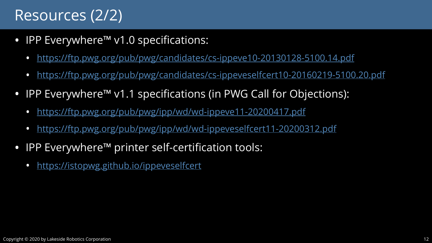

### Resources (2/2)

- IPP Everywhere™ v1.0 specifications:
	- <https://ftp.pwg.org/pub/pwg/candidates/cs-ippeve10-20130128-5100.14.pdf>
	- <https://ftp.pwg.org/pub/pwg/candidates/cs-ippeveselfcert10-20160219-5100.20.pdf>
- IPP Everywhere™ v1.1 specifications (in PWG Call for Objections):
	- <https://ftp.pwg.org/pub/pwg/ipp/wd/wd-ippeve11-20200417.pdf>
	- <https://ftp.pwg.org/pub/pwg/ipp/wd/wd-ippeveselfcert11-20200312.pdf>
- IPP Everywhere™ printer self-certification tools:
	- <https://istopwg.github.io/ippeveselfcert>